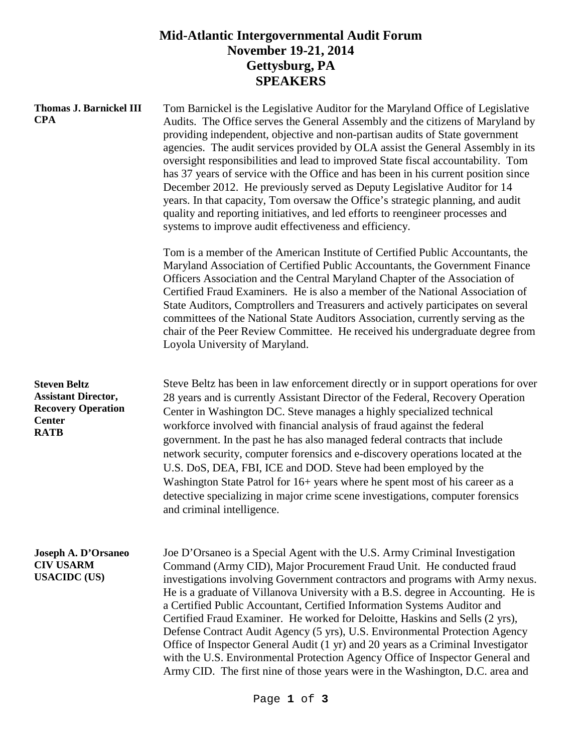## **Mid-Atlantic Intergovernmental Audit Forum November 19-21, 2014 Gettysburg, PA SPEAKERS**

| <b>Thomas J. Barnickel III</b><br><b>CPA</b>                                                                   | Tom Barnickel is the Legislative Auditor for the Maryland Office of Legislative<br>Audits. The Office serves the General Assembly and the citizens of Maryland by<br>providing independent, objective and non-partisan audits of State government<br>agencies. The audit services provided by OLA assist the General Assembly in its<br>oversight responsibilities and lead to improved State fiscal accountability. Tom<br>has 37 years of service with the Office and has been in his current position since<br>December 2012. He previously served as Deputy Legislative Auditor for 14<br>years. In that capacity, Tom oversaw the Office's strategic planning, and audit<br>quality and reporting initiatives, and led efforts to reengineer processes and<br>systems to improve audit effectiveness and efficiency. |
|----------------------------------------------------------------------------------------------------------------|---------------------------------------------------------------------------------------------------------------------------------------------------------------------------------------------------------------------------------------------------------------------------------------------------------------------------------------------------------------------------------------------------------------------------------------------------------------------------------------------------------------------------------------------------------------------------------------------------------------------------------------------------------------------------------------------------------------------------------------------------------------------------------------------------------------------------|
|                                                                                                                | Tom is a member of the American Institute of Certified Public Accountants, the<br>Maryland Association of Certified Public Accountants, the Government Finance<br>Officers Association and the Central Maryland Chapter of the Association of<br>Certified Fraud Examiners. He is also a member of the National Association of<br>State Auditors, Comptrollers and Treasurers and actively participates on several<br>committees of the National State Auditors Association, currently serving as the<br>chair of the Peer Review Committee. He received his undergraduate degree from<br>Loyola University of Maryland.                                                                                                                                                                                                  |
| <b>Steven Beltz</b><br><b>Assistant Director,</b><br><b>Recovery Operation</b><br><b>Center</b><br><b>RATB</b> | Steve Beltz has been in law enforcement directly or in support operations for over<br>28 years and is currently Assistant Director of the Federal, Recovery Operation<br>Center in Washington DC. Steve manages a highly specialized technical<br>workforce involved with financial analysis of fraud against the federal<br>government. In the past he has also managed federal contracts that include<br>network security, computer forensics and e-discovery operations located at the<br>U.S. DoS, DEA, FBI, ICE and DOD. Steve had been employed by the<br>Washington State Patrol for 16+ years where he spent most of his career as a<br>detective specializing in major crime scene investigations, computer forensics<br>and criminal intelligence.                                                              |
| Joseph A. D'Orsaneo<br><b>CIV USARM</b><br><b>USACIDC</b> (US)                                                 | Joe D'Orsaneo is a Special Agent with the U.S. Army Criminal Investigation<br>Command (Army CID), Major Procurement Fraud Unit. He conducted fraud<br>investigations involving Government contractors and programs with Army nexus.<br>He is a graduate of Villanova University with a B.S. degree in Accounting. He is<br>a Certified Public Accountant, Certified Information Systems Auditor and<br>Certified Fraud Examiner. He worked for Deloitte, Haskins and Sells (2 yrs),<br>Defense Contract Audit Agency (5 yrs), U.S. Environmental Protection Agency<br>Office of Inspector General Audit (1 yr) and 20 years as a Criminal Investigator<br>with the U.S. Environmental Protection Agency Office of Inspector General and<br>Army CID. The first nine of those years were in the Washington, D.C. area and  |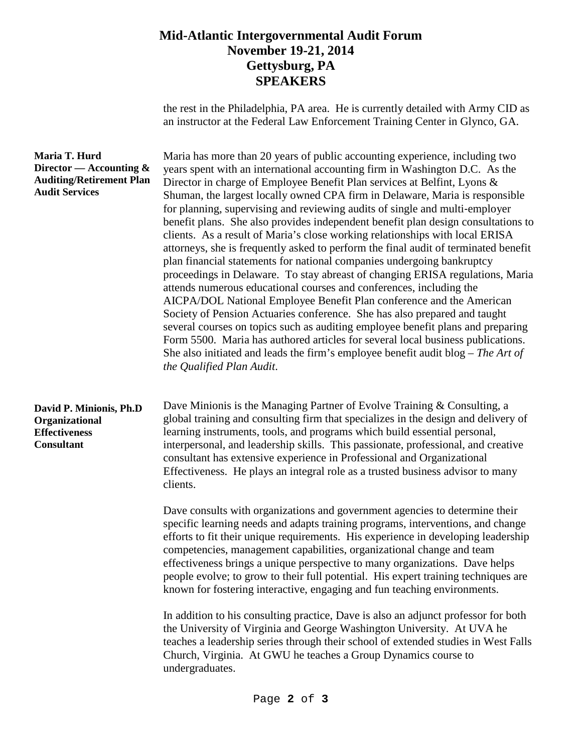## **Mid-Atlantic Intergovernmental Audit Forum November 19-21, 2014 Gettysburg, PA SPEAKERS**

the rest in the Philadelphia, PA area. He is currently detailed with Army CID as an instructor at the Federal Law Enforcement Training Center in Glynco, GA.

| Maria T. Hurd<br>Director — Accounting $\&$<br><b>Auditing/Retirement Plan</b><br><b>Audit Services</b> | Maria has more than 20 years of public accounting experience, including two<br>years spent with an international accounting firm in Washington D.C. As the<br>Director in charge of Employee Benefit Plan services at Belfint, Lyons &<br>Shuman, the largest locally owned CPA firm in Delaware, Maria is responsible<br>for planning, supervising and reviewing audits of single and multi-employer<br>benefit plans. She also provides independent benefit plan design consultations to<br>clients. As a result of Maria's close working relationships with local ERISA<br>attorneys, she is frequently asked to perform the final audit of terminated benefit<br>plan financial statements for national companies undergoing bankruptcy<br>proceedings in Delaware. To stay abreast of changing ERISA regulations, Maria<br>attends numerous educational courses and conferences, including the<br>AICPA/DOL National Employee Benefit Plan conference and the American<br>Society of Pension Actuaries conference. She has also prepared and taught<br>several courses on topics such as auditing employee benefit plans and preparing<br>Form 5500. Maria has authored articles for several local business publications.<br>She also initiated and leads the firm's employee benefit audit blog – The Art of<br>the Qualified Plan Audit. |
|---------------------------------------------------------------------------------------------------------|-------------------------------------------------------------------------------------------------------------------------------------------------------------------------------------------------------------------------------------------------------------------------------------------------------------------------------------------------------------------------------------------------------------------------------------------------------------------------------------------------------------------------------------------------------------------------------------------------------------------------------------------------------------------------------------------------------------------------------------------------------------------------------------------------------------------------------------------------------------------------------------------------------------------------------------------------------------------------------------------------------------------------------------------------------------------------------------------------------------------------------------------------------------------------------------------------------------------------------------------------------------------------------------------------------------------------------------------------|
| David P. Minionis, Ph.D<br>Organizational<br><b>Effectiveness</b><br><b>Consultant</b>                  | Dave Minionis is the Managing Partner of Evolve Training & Consulting, a<br>global training and consulting firm that specializes in the design and delivery of<br>learning instruments, tools, and programs which build essential personal,<br>interpersonal, and leadership skills. This passionate, professional, and creative<br>consultant has extensive experience in Professional and Organizational<br>Effectiveness. He plays an integral role as a trusted business advisor to many<br>clients.                                                                                                                                                                                                                                                                                                                                                                                                                                                                                                                                                                                                                                                                                                                                                                                                                                        |
|                                                                                                         | Dave consults with organizations and government agencies to determine their<br>specific learning needs and adapts training programs, interventions, and change<br>efforts to fit their unique requirements. His experience in developing leadership<br>competencies, management capabilities, organizational change and team<br>effectiveness brings a unique perspective to many organizations. Dave helps<br>people evolve; to grow to their full potential. His expert training techniques are<br>known for fostering interactive, engaging and fun teaching environments.                                                                                                                                                                                                                                                                                                                                                                                                                                                                                                                                                                                                                                                                                                                                                                   |
|                                                                                                         | In addition to his consulting practice, Dave is also an adjunct professor for both<br>the University of Virginia and George Washington University. At UVA he<br>teaches a leadership series through their school of extended studies in West Falls<br>Church, Virginia. At GWU he teaches a Group Dynamics course to<br>undergraduates.                                                                                                                                                                                                                                                                                                                                                                                                                                                                                                                                                                                                                                                                                                                                                                                                                                                                                                                                                                                                         |